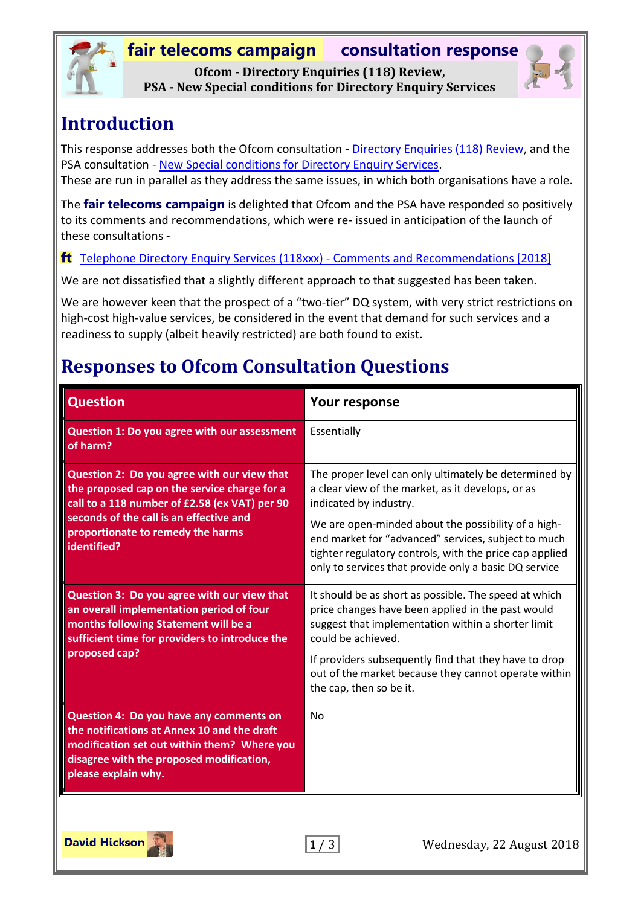## **fair telecoms campaign consultation response Ofcom - Directory Enquiries (118) Review,**



**PSA - New Special conditions for Directory Enquiry Services**

## **Introduction**

This response addresses both the Ofcom consultation - [Directory Enquiries \(118\) Review,](https://www.ofcom.org.uk/consultations-and-statements/category-1/directory-enquiries-118-review) and the PSA consultation - [New Special conditions for Directory Enquiry Services.](https://psauthority.org.uk/-/media/Files/PSA/For-Businesses/Our-role-in-the-industry/Public-consultations/2018/Consultation-on-new-Special-Conditions-for-Directory-Enquiry-Services-13-June-2018.ashx)

These are run in parallel as they address the same issues, in which both organisations have a role.

The **fair telecoms campaign** is delighted that Ofcom and the PSA have responded so positively to its comments and recommendations, which were re- issued in anticipation of the launch of these consultations -

#### [Telephone Directory Enquiry Services \(118xxx\) -](http://www.fairtelecoms.org.uk/docs.html?dqbr18) Comments and Recommendations [2018]

We are not dissatisfied that a slightly different approach to that suggested has been taken.

We are however keen that the prospect of a "two-tier" DQ system, with very strict restrictions on high-cost high-value services, be considered in the event that demand for such services and a readiness to supply (albeit heavily restricted) are both found to exist.

## **Responses to Ofcom Consultation Questions**

| Your response                                                                                                                                                                                                                  |
|--------------------------------------------------------------------------------------------------------------------------------------------------------------------------------------------------------------------------------|
| Essentially                                                                                                                                                                                                                    |
| The proper level can only ultimately be determined by<br>a clear view of the market, as it develops, or as<br>indicated by industry.                                                                                           |
| We are open-minded about the possibility of a high-<br>end market for "advanced" services, subject to much<br>tighter regulatory controls, with the price cap applied<br>only to services that provide only a basic DQ service |
| It should be as short as possible. The speed at which<br>price changes have been applied in the past would<br>suggest that implementation within a shorter limit<br>could be achieved.                                         |
| If providers subsequently find that they have to drop<br>out of the market because they cannot operate within<br>the cap, then so be it.                                                                                       |
| <b>No</b>                                                                                                                                                                                                                      |
|                                                                                                                                                                                                                                |

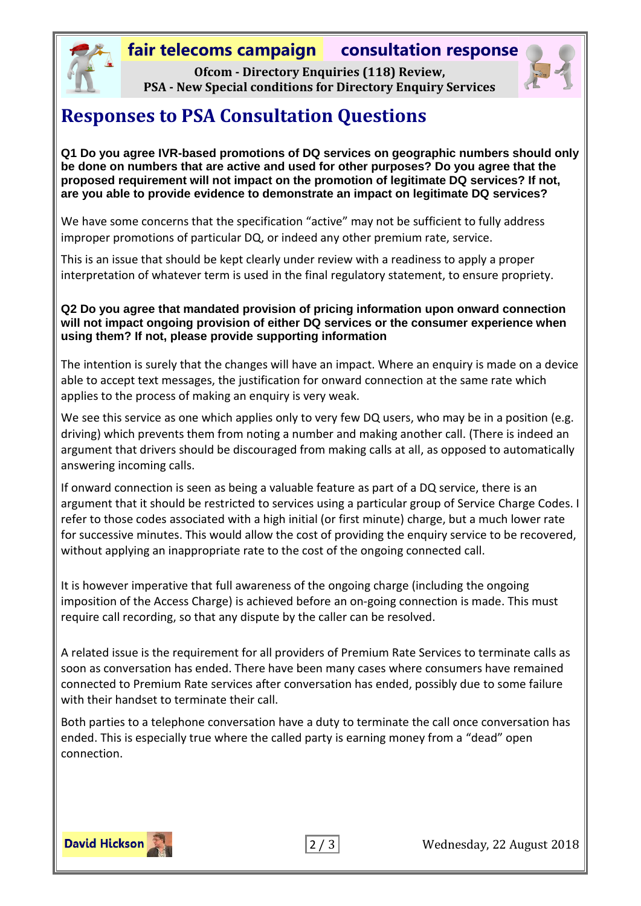#### **fair telecoms campaign consultation response**

**Ofcom - Directory Enquiries (118) Review, PSA - New Special conditions for Directory Enquiry Services**



#### **Responses to PSA Consultation Questions**

**Q1 Do you agree IVR-based promotions of DQ services on geographic numbers should only be done on numbers that are active and used for other purposes? Do you agree that the proposed requirement will not impact on the promotion of legitimate DQ services? If not, are you able to provide evidence to demonstrate an impact on legitimate DQ services?**

We have some concerns that the specification "active" may not be sufficient to fully address improper promotions of particular DQ, or indeed any other premium rate, service.

This is an issue that should be kept clearly under review with a readiness to apply a proper interpretation of whatever term is used in the final regulatory statement, to ensure propriety.

#### **Q2 Do you agree that mandated provision of pricing information upon onward connection will not impact ongoing provision of either DQ services or the consumer experience when using them? If not, please provide supporting information**

The intention is surely that the changes will have an impact. Where an enquiry is made on a device able to accept text messages, the justification for onward connection at the same rate which applies to the process of making an enquiry is very weak.

We see this service as one which applies only to very few DQ users, who may be in a position (e.g. driving) which prevents them from noting a number and making another call. (There is indeed an argument that drivers should be discouraged from making calls at all, as opposed to automatically answering incoming calls.

If onward connection is seen as being a valuable feature as part of a DQ service, there is an argument that it should be restricted to services using a particular group of Service Charge Codes. I refer to those codes associated with a high initial (or first minute) charge, but a much lower rate for successive minutes. This would allow the cost of providing the enquiry service to be recovered, without applying an inappropriate rate to the cost of the ongoing connected call.

It is however imperative that full awareness of the ongoing charge (including the ongoing imposition of the Access Charge) is achieved before an on-going connection is made. This must require call recording, so that any dispute by the caller can be resolved.

A related issue is the requirement for all providers of Premium Rate Services to terminate calls as soon as conversation has ended. There have been many cases where consumers have remained connected to Premium Rate services after conversation has ended, possibly due to some failure with their handset to terminate their call.

Both parties to a telephone conversation have a duty to terminate the call once conversation has ended. This is especially true where the called party is earning money from a "dead" open connection.